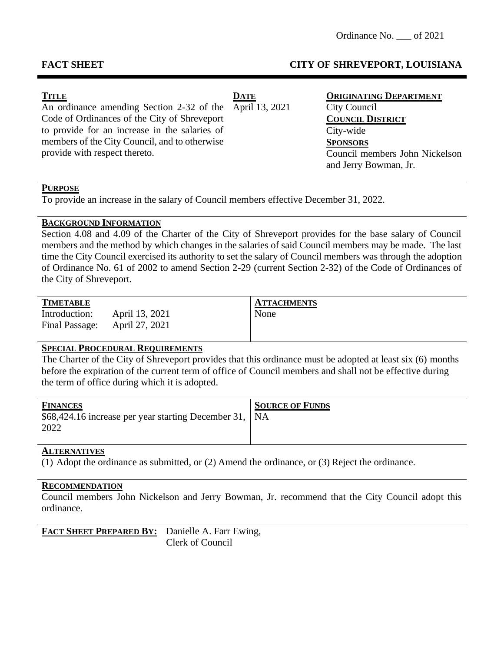# **FACT SHEET CITY OF SHREVEPORT, LOUISIANA**

| <b>TITLE</b>                                             | <b>DATE</b> | <b>ORIGINATING DEPARTMENT</b>  |
|----------------------------------------------------------|-------------|--------------------------------|
| An ordinance amending Section 2-32 of the April 13, 2021 |             | City Council                   |
| Code of Ordinances of the City of Shreveport             |             | <b>COUNCIL DISTRICT</b>        |
| to provide for an increase in the salaries of            |             | City-wide                      |
| members of the City Council, and to otherwise            |             | <b>SPONSORS</b>                |
| provide with respect thereto.                            |             | Council members John Nickelson |
|                                                          |             | and Jerry Bowman, Jr.          |

### **PURPOSE**

To provide an increase in the salary of Council members effective December 31, 2022.

## **BACKGROUND INFORMATION**

Section 4.08 and 4.09 of the Charter of the City of Shreveport provides for the base salary of Council members and the method by which changes in the salaries of said Council members may be made. The last time the City Council exercised its authority to set the salary of Council members was through the adoption of Ordinance No. 61 of 2002 to amend Section 2-29 (current Section 2-32) of the Code of Ordinances of the City of Shreveport.

Introduction: April 13, 2021 None Final Passage: April 27, 2021

**TIMETABLE ATTACHMENTS**

## **SPECIAL PROCEDURAL REQUIREMENTS**

The Charter of the City of Shreveport provides that this ordinance must be adopted at least six (6) months before the expiration of the current term of office of Council members and shall not be effective during the term of office during which it is adopted.

| <b>FINANCES</b><br>\$68,424.16 increase per year starting December 31,   NA | <b>SOURCE OF FUNDS</b> |
|-----------------------------------------------------------------------------|------------------------|
| 2022                                                                        |                        |

## **ALTERNATIVES**

(1) Adopt the ordinance as submitted, or (2) Amend the ordinance, or (3) Reject the ordinance.

#### **RECOMMENDATION**

Council members John Nickelson and Jerry Bowman, Jr. recommend that the City Council adopt this ordinance.

**FACT SHEET PREPARED BY:** Danielle A. Farr Ewing, Clerk of Council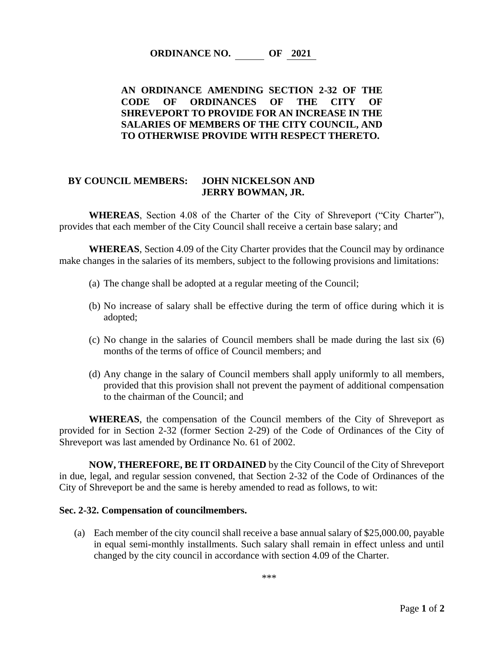**ORDINANCE NO. OF 2021**

# **AN ORDINANCE AMENDING SECTION 2-32 OF THE CODE OF ORDINANCES OF THE CITY OF SHREVEPORT TO PROVIDE FOR AN INCREASE IN THE SALARIES OF MEMBERS OF THE CITY COUNCIL, AND TO OTHERWISE PROVIDE WITH RESPECT THERETO.**

## **BY COUNCIL MEMBERS: JOHN NICKELSON AND JERRY BOWMAN, JR.**

**WHEREAS**, Section 4.08 of the Charter of the City of Shreveport ("City Charter"), provides that each member of the City Council shall receive a certain base salary; and

**WHEREAS**, Section 4.09 of the City Charter provides that the Council may by ordinance make changes in the salaries of its members, subject to the following provisions and limitations:

- (a) The change shall be adopted at a regular meeting of the Council;
- (b) No increase of salary shall be effective during the term of office during which it is adopted;
- (c) No change in the salaries of Council members shall be made during the last six (6) months of the terms of office of Council members; and
- (d) Any change in the salary of Council members shall apply uniformly to all members, provided that this provision shall not prevent the payment of additional compensation to the chairman of the Council; and

**WHEREAS**, the compensation of the Council members of the City of Shreveport as provided for in Section 2-32 (former Section 2-29) of the Code of Ordinances of the City of Shreveport was last amended by Ordinance No. 61 of 2002.

**NOW, THEREFORE, BE IT ORDAINED** by the City Council of the City of Shreveport in due, legal, and regular session convened, that Section 2-32 of the Code of Ordinances of the City of Shreveport be and the same is hereby amended to read as follows, to wit:

#### **Sec. 2-32. Compensation of councilmembers.**

(a) Each member of the city council shall receive a base annual salary of \$25,000.00, payable in equal semi-monthly installments. Such salary shall remain in effect unless and until changed by the city council in accordance with section 4.09 of the Charter.